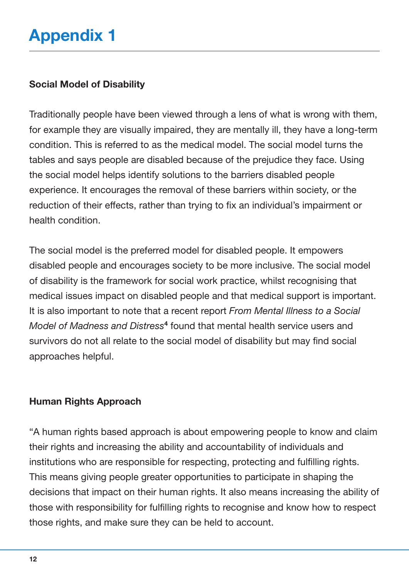## **Social Model of Disability**

Traditionally people have been viewed through a lens of what is wrong with them, for example they are visually impaired, they are mentally ill, they have a long-term condition. This is referred to as the medical model. The social model turns the tables and says people are disabled because of the prejudice they face. Using the social model helps identify solutions to the barriers disabled people experience. It encourages the removal of these barriers within society, or the reduction of their effects, rather than trying to fix an individual's impairment or health condition.

The social model is the preferred model for disabled people. It empowers disabled people and encourages society to be more inclusive. The social model of disability is the framework for social work practice, whilst recognising that medical issues impact on disabled people and that medical support is important. It is also important to note that a recent report *From Mental Illness to a Social Model of Madness and Distress***<sup>4</sup>** found that mental health service users and survivors do not all relate to the social model of disability but may find social approaches helpful.

## **Human Rights Approach**

"A human rights based approach is about empowering people to know and claim their rights and increasing the ability and accountability of individuals and institutions who are responsible for respecting, protecting and fulfilling rights. This means giving people greater opportunities to participate in shaping the decisions that impact on their human rights. It also means increasing the ability of those with responsibility for fulfilling rights to recognise and know how to respect those rights, and make sure they can be held to account.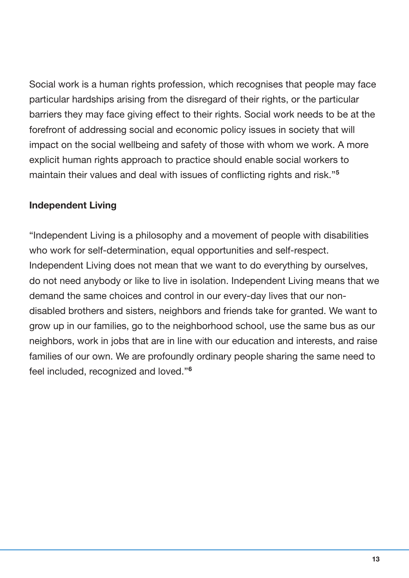Social work is a human rights profession, which recognises that people may face particular hardships arising from the disregard of their rights, or the particular barriers they may face giving effect to their rights. Social work needs to be at the forefront of addressing social and economic policy issues in society that will impact on the social wellbeing and safety of those with whom we work. A more explicit human rights approach to practice should enable social workers to maintain their values and deal with issues of conflicting rights and risk."**<sup>5</sup>**

## **Independent Living**

"Independent Living is a philosophy and a movement of people with disabilities who work for self-determination, equal opportunities and self-respect. Independent Living does not mean that we want to do everything by ourselves, do not need anybody or like to live in isolation. Independent Living means that we demand the same choices and control in our every-day lives that our nondisabled brothers and sisters, neighbors and friends take for granted. We want to grow up in our families, go to the neighborhood school, use the same bus as our neighbors, work in jobs that are in line with our education and interests, and raise families of our own. We are profoundly ordinary people sharing the same need to feel included, recognized and loved."**<sup>6</sup>**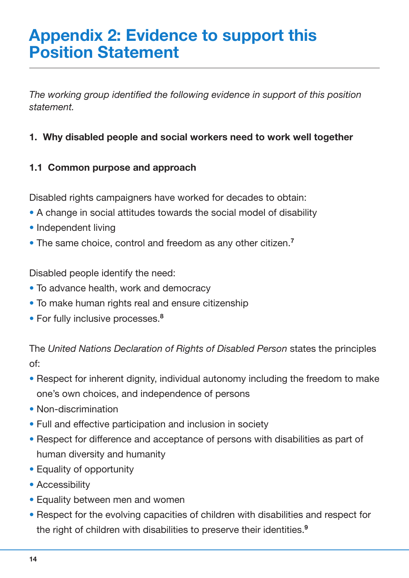## **Appendix 2: Evidence to support this Position Statement**

*The working group identified the following evidence in support of this position statement.*

## **1. Why disabled people and social workers need to work well together**

## **1.1 Common purpose and approach**

Disabled rights campaigners have worked for decades to obtain:

- A change in social attitudes towards the social model of disability
- Independent living
- The same choice, control and freedom as any other citizen. **7**

Disabled people identify the need:

- To advance health, work and democracy
- To make human rights real and ensure citizenship
- For fully inclusive processes. **8**

The *United Nations Declaration of Rights of Disabled Person* states the principles of:

- Respect for inherent dignity, individual autonomy including the freedom to make one's own choices, and independence of persons
- Non-discrimination
- Full and effective participation and inclusion in society
- Respect for difference and acceptance of persons with disabilities as part of human diversity and humanity
- Equality of opportunity
- Accessibility
- Equality between men and women
- Respect for the evolving capacities of children with disabilities and respect for the right of children with disabilities to preserve their identities. **9**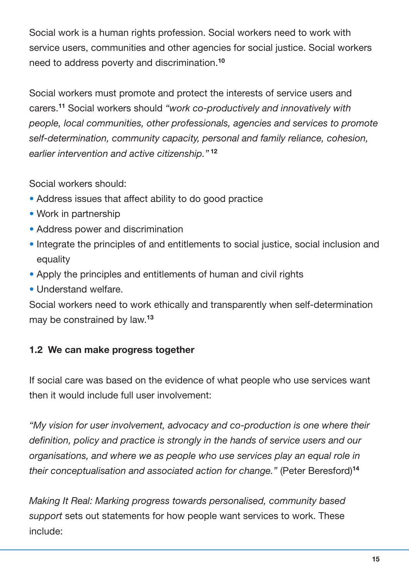Social work is a human rights profession. Social workers need to work with service users, communities and other agencies for social justice. Social workers need to address poverty and discrimination. **10**

Social workers must promote and protect the interests of service users and carers. **<sup>11</sup>** Social workers should *"work co-productively and innovatively with people, local communities, other professionals, agencies and services to promote self-determination, community capacity, personal and family reliance, cohesion, earlier intervention and active citizenship."* **<sup>12</sup>**

Social workers should:

- Address issues that affect ability to do good practice
- Work in partnership
- Address power and discrimination
- Integrate the principles of and entitlements to social justice, social inclusion and equality
- Apply the principles and entitlements of human and civil rights
- Understand welfare.

Social workers need to work ethically and transparently when self-determination may be constrained by law. **13**

## **1.2 We can make progress together**

If social care was based on the evidence of what people who use services want then it would include full user involvement:

*"My vision for user involvement, advocacy and co-production is one where their definition, policy and practice is strongly in the hands of service users and our organisations, and where we as people who use services play an equal role in their conceptualisation and associated action for change."* (Peter Beresford) **14**

*Making It Real: Marking progress towards personalised, community based support* sets out statements for how people want services to work. These include: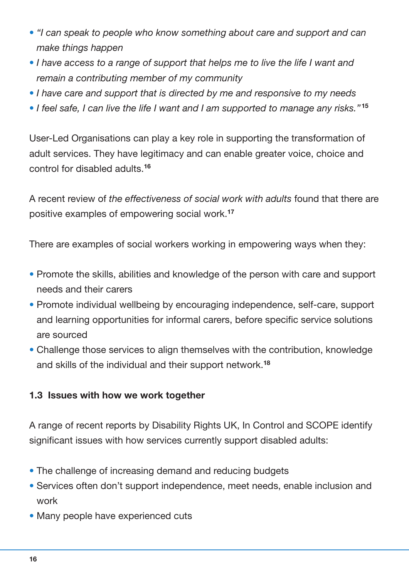- *"I can speak to people who know something about care and support and can make things happen*
- *I have access to a range of support that helps me to live the life I want and remain a contributing member of my community*
- *I have care and support that is directed by me and responsive to my needs*
- *I feel safe, I can live the life I want and I am supported to manage any risks."* **<sup>15</sup>**

User-Led Organisations can play a key role in supporting the transformation of adult services. They have legitimacy and can enable greater voice, choice and control for disabled adults. **16**

A recent review of *the effectiveness of social work with adults* found that there are positive examples of empowering social work. **17**

There are examples of social workers working in empowering ways when they:

- Promote the skills, abilities and knowledge of the person with care and support needs and their carers
- Promote individual wellbeing by encouraging independence, self-care, support and learning opportunities for informal carers, before specific service solutions are sourced
- Challenge those services to align themselves with the contribution, knowledge and skills of the individual and their support network. **18**

## **1.3 Issues with how we work together**

A range of recent reports by Disability Rights UK, In Control and SCOPE identify significant issues with how services currently support disabled adults:

- The challenge of increasing demand and reducing budgets
- Services often don't support independence, meet needs, enable inclusion and work
- Many people have experienced cuts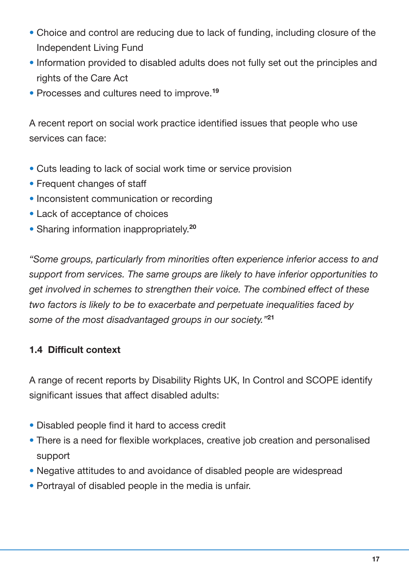- Choice and control are reducing due to lack of funding, including closure of the Independent Living Fund
- Information provided to disabled adults does not fully set out the principles and rights of the Care Act
- Processes and cultures need to improve. **19**

A recent report on social work practice identified issues that people who use services can face:

- Cuts leading to lack of social work time or service provision
- Frequent changes of staff
- Inconsistent communication or recording
- Lack of acceptance of choices
- Sharing information inappropriately. **20**

*"Some groups, particularly from minorities often experience inferior access to and support from services. The same groups are likely to have inferior opportunities to get involved in schemes to strengthen their voice. The combined effect of these two factors is likely to be to exacerbate and perpetuate inequalities faced by some of the most disadvantaged groups in our society."***<sup>21</sup>**

## **1.4 Difficult context**

A range of recent reports by Disability Rights UK, In Control and SCOPE identify significant issues that affect disabled adults:

- Disabled people find it hard to access credit
- There is a need for flexible workplaces, creative job creation and personalised support
- Negative attitudes to and avoidance of disabled people are widespread
- Portrayal of disabled people in the media is unfair.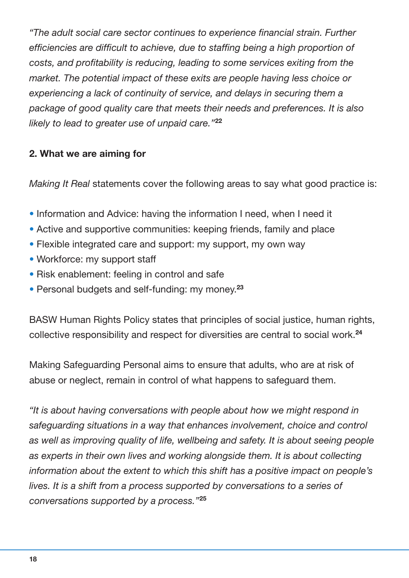*"The adult social care sector continues to experience financial strain. Further efficiencies are difficult to achieve, due to staffing being a high proportion of costs, and profitability is reducing, leading to some services exiting from the market. The potential impact of these exits are people having less choice or experiencing a lack of continuity of service, and delays in securing them a package of good quality care that meets their needs and preferences. It is also likely to lead to greater use of unpaid care."***<sup>22</sup>**

## **2. What we are aiming for**

*Making It Real* statements cover the following areas to say what good practice is:

- Information and Advice: having the information I need, when I need it
- Active and supportive communities: keeping friends, family and place
- Flexible integrated care and support: my support, my own way
- Workforce: my support staff
- Risk enablement: feeling in control and safe
- Personal budgets and self-funding: my money. **23**

BASW Human Rights Policy states that principles of social justice, human rights, collective responsibility and respect for diversities are central to social work. **24**

Making Safeguarding Personal aims to ensure that adults, who are at risk of abuse or neglect, remain in control of what happens to safeguard them.

*"It is about having conversations with people about how we might respond in safeguarding situations in a way that enhances involvement, choice and control as well as improving quality of life, wellbeing and safety. It is about seeing people as experts in their own lives and working alongside them. It is about collecting information about the extent to which this shift has a positive impact on people's lives. It is a shift from a process supported by conversations to a series of conversations supported by a process."***<sup>25</sup>**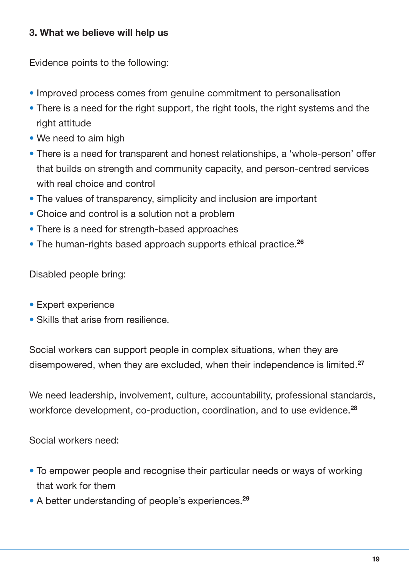## **3. What we believe will help us**

Evidence points to the following:

- Improved process comes from genuine commitment to personalisation
- There is a need for the right support, the right tools, the right systems and the right attitude
- We need to aim high
- There is a need for transparent and honest relationships, a 'whole-person' offer that builds on strength and community capacity, and person-centred services with real choice and control
- The values of transparency, simplicity and inclusion are important
- Choice and control is a solution not a problem
- There is a need for strength-based approaches
- The human-rights based approach supports ethical practice. **26**

Disabled people bring:

- Expert experience
- Skills that arise from resilience.

Social workers can support people in complex situations, when they are disempowered, when they are excluded, when their independence is limited. **27**

We need leadership, involvement, culture, accountability, professional standards, workforce development, co-production, coordination, and to use evidence. **28**

Social workers need:

- To empower people and recognise their particular needs or ways of working that work for them
- A better understanding of people's experiences. **29**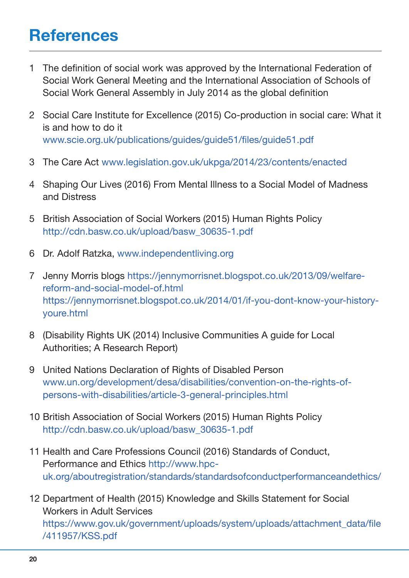# **References**

- 1 The definition of social work was approved by the International Federation of Social Work General Meeting and the International Association of Schools of Social Work General Assembly in July 2014 as the global definition
- 2 Social Care Institute for Excellence (2015) Co-production in social care: What it is and how to do it <www.scie.org.uk/publications/guides/guide51/files/guide51.pdf>
- 3 The Care Act <www.legislation.gov.uk/ukpga/2014/23/contents/enacted>
- 4 Shaping Our Lives (2016) From Mental Illness to a Social Model of Madness and Distress
- 5 British Association of Social Workers (2015) Human Rights Policy [http://cdn.basw.co.uk/upload/basw\\_30635-1.pdf](http://cdn.basw.co.uk/upload/basw_30635-1.pdf)
- 6 Dr. Adolf Ratzka, <www.independentliving.org>
- 7 Jenny Morris blogs [https://jennymorrisnet.blogspot.co.uk/2013/09/welfare](https://jennymorrisnet.blogspot.co.uk/2013/09/welfare-reform-and-social-model-of.html)[reform-and-social-model-of.html](https://jennymorrisnet.blogspot.co.uk/2013/09/welfare-reform-and-social-model-of.html) [https://jennymorrisnet.blogspot.co.uk/2014/01/if-you-dont-know-your-history](https://jennymorrisnet.blogspot.co.uk/2014/01/if-you-dont-know-your-history-youre.html)[youre.html](https://jennymorrisnet.blogspot.co.uk/2014/01/if-you-dont-know-your-history-youre.html)
- 8 (Disability Rights UK (2014) Inclusive Communities A guide for Local Authorities; A Research Report)
- 9 United Nations Declaration of Rights of Disabled Person [www.un.org/development/desa/disabilities/convention-on-the-rights-of](www.un.org/development/desa/disabilities/convention-on-the-rights-of-persons-with-disabilities/article-3-general-principles.html )[persons-with-disabilities/article-3-general-principles.html](www.un.org/development/desa/disabilities/convention-on-the-rights-of-persons-with-disabilities/article-3-general-principles.html )
- 10 British Association of Social Workers (2015) Human Rights Policy [http://cdn.basw.co.uk/upload/basw\\_30635-1.pdf](www.un.org/development/desa/disabilities/convention-on-the-rights-of-persons-with-disabilities/article-3-general-principles.html )
- 11 Health and Care Professions Council (2016) Standards of Conduct, Performance and Ethics [http://www.hpc](http://www.hpc-uk.org/aboutregistration/standards/standardsofconductperformanceandethics/)[uk.org/aboutregistration/standards/standardsofconductperformanceandethics/](http://www.hpc-uk.org/aboutregistration/standards/standardsofconductperformanceandethics/)
- 12 Department of Health (2015) Knowledge and Skills Statement for Social Workers in Adult Services [https://www.gov.uk/government/uploads/system/uploads/attachment\\_data/file](https://www.gov.uk/government/uploads/system/uploads/attachment_data/file/411957/KSS.pdf) [/411957/KSS.pdf](https://www.gov.uk/government/uploads/system/uploads/attachment_data/file/411957/KSS.pdf)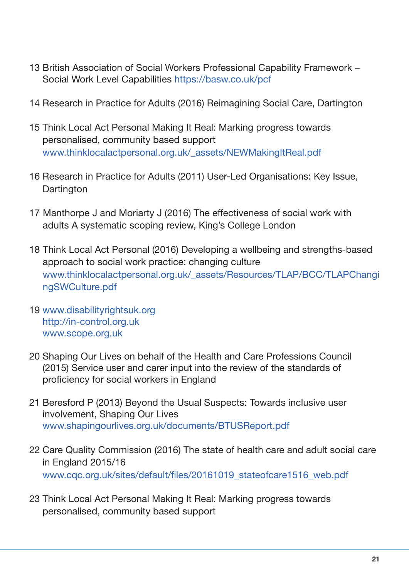- 13 British Association of Social Workers Professional Capability Framework Social Work Level Capabilities <https://basw.co.uk/pcf>
- 14 Research in Practice for Adults (2016) Reimagining Social Care, Dartington
- 15 Think Local Act Personal Making It Real: Marking progress towards personalised, community based support [www.thinklocalactpersonal.org.uk/\\_assets/NEWMakingItReal.pdf](www.thinklocalactpersonal.org.uk/_assets/NEWMakingItReal.pdf)
- 16 Research in Practice for Adults (2011) User-Led Organisations: Key Issue, **Dartington**
- 17 Manthorpe J and Moriarty J (2016) The effectiveness of social work with adults A systematic scoping review, King's College London
- 18 Think Local Act Personal (2016) Developing a wellbeing and strengths-based approach to social work practice: changing culture [www.thinklocalactpersonal.org.uk/\\_assets/Resources/TLAP/BCC/TLAPChangi](www.thinklocalactpersonal.org.uk/_assets/Resources/TLAP/BCC/TLAPChangingSWCulture.pdf) [ngSWCulture.pdf](www.thinklocalactpersonal.org.uk/_assets/Resources/TLAP/BCC/TLAPChangingSWCulture.pdf)
- 19 <www.disabilityrightsuk.org> <http://in-control.org.uk> <www.scope.org.uk>
- 20 Shaping Our Lives on behalf of the Health and Care Professions Council (2015) Service user and carer input into the review of the standards of proficiency for social workers in England
- 21 Beresford P (2013) Beyond the Usual Suspects: Towards inclusive user involvement, Shaping Our Lives <www.shapingourlives.org.uk/documents/BTUSReport.pdf>
- 22 Care Quality Commission (2016) The state of health care and adult social care in England 2015/16 [www.cqc.org.uk/sites/default/files/20161019\\_stateofcare1516\\_web.pdf](www.cqc.org.uk/sites/default/files/20161019_stateofcare1516_web.pdf)
- 23 Think Local Act Personal Making It Real: Marking progress towards personalised, community based support